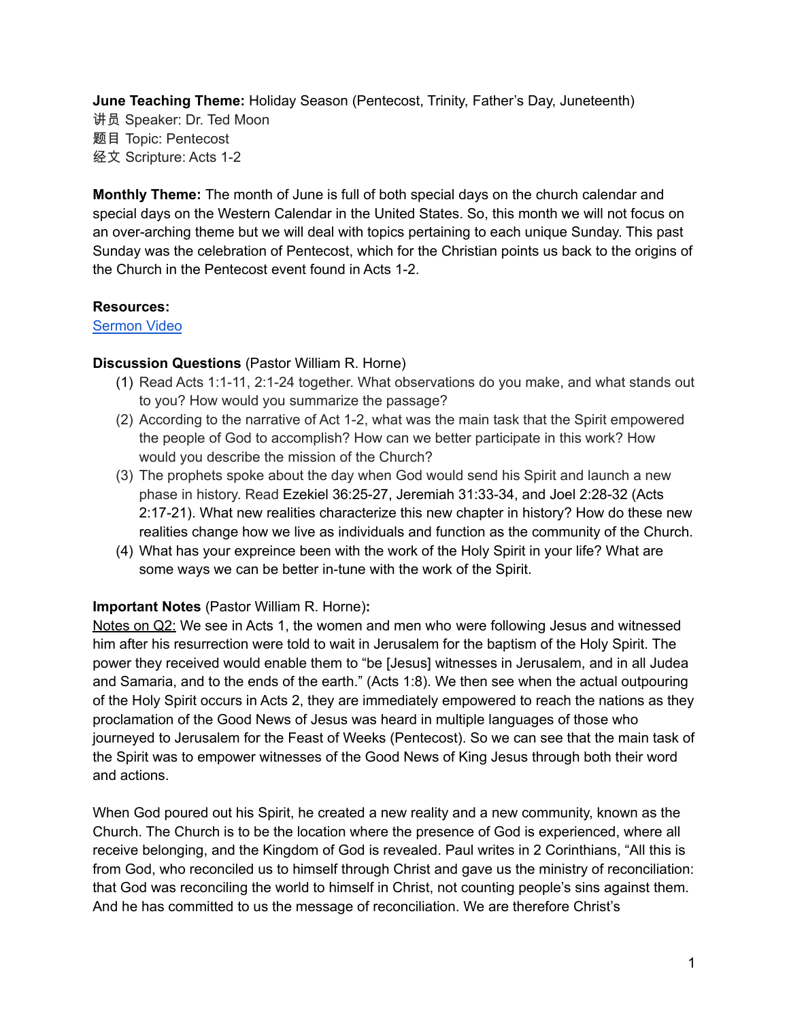**June Teaching Theme:** Holiday Season (Pentecost, Trinity, Father's Day, Juneteenth) 讲员 Speaker: Dr. Ted Moon 题目 Topic: Pentecost 经文 Scripture: Acts 1-2

**Monthly Theme:** The month of June is full of both special days on the church calendar and special days on the Western Calendar in the United States. So, this month we will not focus on an over-arching theme but we will deal with topics pertaining to each unique Sunday. This past Sunday was the celebration of Pentecost, which for the Christian points us back to the origins of the Church in the Pentecost event found in Acts 1-2.

## **Resources:**

[Sermon](https://www.youtube.com/watch?v=ocDn6bn_cO8&t=27s) Video

## **Discussion Questions** (Pastor William R. Horne)

- (1) Read Acts 1:1-11, 2:1-24 together. What observations do you make, and what stands out to you? How would you summarize the passage?
- (2) According to the narrative of Act 1-2, what was the main task that the Spirit empowered the people of God to accomplish? How can we better participate in this work? How would you describe the mission of the Church?
- (3) The prophets spoke about the day when God would send his Spirit and launch a new phase in history. Read Ezekiel 36:25-27, Jeremiah 31:33-34, and Joel 2:28-32 (Acts 2:17-21). What new realities characterize this new chapter in history? How do these new realities change how we live as individuals and function as the community of the Church.
- (4) What has your expreince been with the work of the Holy Spirit in your life? What are some ways we can be better in-tune with the work of the Spirit.

## **Important Notes** (Pastor William R. Horne)**:**

Notes on Q2: We see in Acts 1, the women and men who were following Jesus and witnessed him after his resurrection were told to wait in Jerusalem for the baptism of the Holy Spirit. The power they received would enable them to "be [Jesus] witnesses in Jerusalem, and in all Judea and Samaria, and to the ends of the earth." (Acts 1:8). We then see when the actual outpouring of the Holy Spirit occurs in Acts 2, they are immediately empowered to reach the nations as they proclamation of the Good News of Jesus was heard in multiple languages of those who journeyed to Jerusalem for the Feast of Weeks (Pentecost). So we can see that the main task of the Spirit was to empower witnesses of the Good News of King Jesus through both their word and actions.

When God poured out his Spirit, he created a new reality and a new community, known as the Church. The Church is to be the location where the presence of God is experienced, where all receive belonging, and the Kingdom of God is revealed. Paul writes in 2 Corinthians, "All this is from God, who reconciled us to himself through Christ and gave us the ministry of reconciliation: that God was reconciling the world to himself in Christ, not counting people's sins against them. And he has committed to us the message of reconciliation. We are therefore Christ's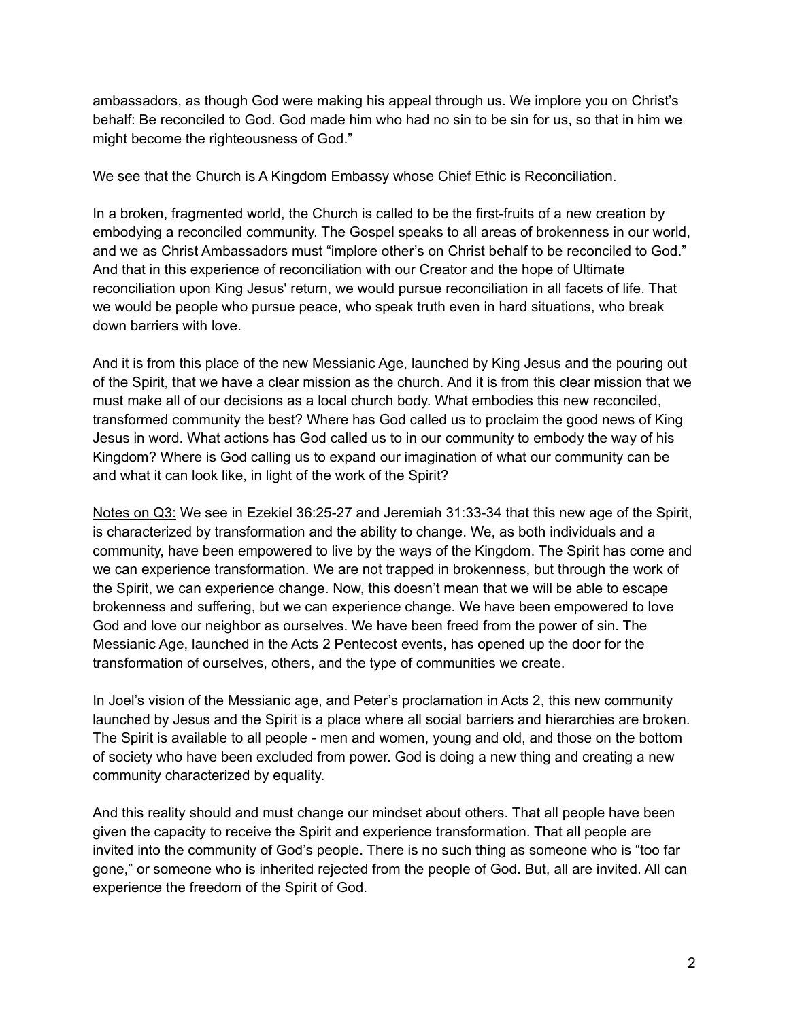ambassadors, as though God were making his appeal through us. We implore you on Christ's behalf: Be reconciled to God. God made him who had no sin to be sin for us, so that in him we might become the righteousness of God."

We see that the Church is A Kingdom Embassy whose Chief Ethic is Reconciliation.

In a broken, fragmented world, the Church is called to be the first-fruits of a new creation by embodying a reconciled community. The Gospel speaks to all areas of brokenness in our world, and we as Christ Ambassadors must "implore other's on Christ behalf to be reconciled to God." And that in this experience of reconciliation with our Creator and the hope of Ultimate reconciliation upon King Jesus' return, we would pursue reconciliation in all facets of life. That we would be people who pursue peace, who speak truth even in hard situations, who break down barriers with love.

And it is from this place of the new Messianic Age, launched by King Jesus and the pouring out of the Spirit, that we have a clear mission as the church. And it is from this clear mission that we must make all of our decisions as a local church body. What embodies this new reconciled, transformed community the best? Where has God called us to proclaim the good news of King Jesus in word. What actions has God called us to in our community to embody the way of his Kingdom? Where is God calling us to expand our imagination of what our community can be and what it can look like, in light of the work of the Spirit?

Notes on Q3: We see in Ezekiel 36:25-27 and Jeremiah 31:33-34 that this new age of the Spirit, is characterized by transformation and the ability to change. We, as both individuals and a community, have been empowered to live by the ways of the Kingdom. The Spirit has come and we can experience transformation. We are not trapped in brokenness, but through the work of the Spirit, we can experience change. Now, this doesn't mean that we will be able to escape brokenness and suffering, but we can experience change. We have been empowered to love God and love our neighbor as ourselves. We have been freed from the power of sin. The Messianic Age, launched in the Acts 2 Pentecost events, has opened up the door for the transformation of ourselves, others, and the type of communities we create.

In Joel's vision of the Messianic age, and Peter's proclamation in Acts 2, this new community launched by Jesus and the Spirit is a place where all social barriers and hierarchies are broken. The Spirit is available to all people - men and women, young and old, and those on the bottom of society who have been excluded from power. God is doing a new thing and creating a new community characterized by equality.

And this reality should and must change our mindset about others. That all people have been given the capacity to receive the Spirit and experience transformation. That all people are invited into the community of God's people. There is no such thing as someone who is "too far gone," or someone who is inherited rejected from the people of God. But, all are invited. All can experience the freedom of the Spirit of God.